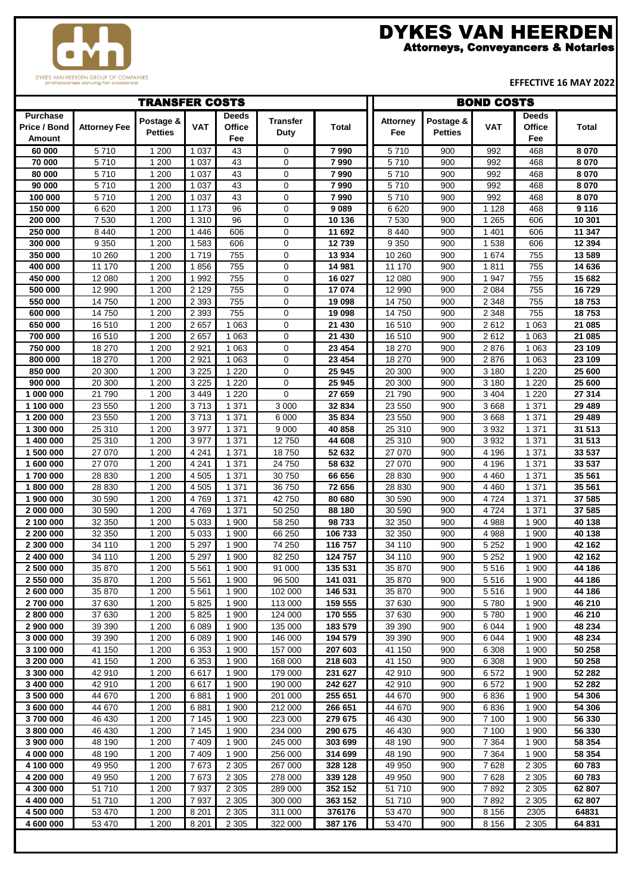

## DYKES VAN HEERDEN

Attorneys, Conveyancers & Notaries

**EFFECTIVE 16 MAY 2022**

| <b>TRANSFER COSTS</b>                     |                     |                             |                    |                        |                    |                    | <b>BOND COSTS</b> |                             |                    |                                      |                  |
|-------------------------------------------|---------------------|-----------------------------|--------------------|------------------------|--------------------|--------------------|-------------------|-----------------------------|--------------------|--------------------------------------|------------------|
| <b>Purchase</b><br>Price / Bond<br>Amount | <b>Attorney Fee</b> | Postage &<br><b>Petties</b> | <b>VAT</b>         | Deeds<br>Office<br>Fee | Transfer<br>Duty   | <b>Total</b>       | Attorney<br>Fee   | Postage &<br><b>Petties</b> | <b>VAT</b>         | <b>Deeds</b><br><b>Office</b><br>Fee | Total            |
| 60 000                                    | 5710                | 1 200                       | 1 0 3 7            | 43                     | 0                  | 7990               | 5710              | 900                         | 992                | 468                                  | 8 0 7 0          |
| 70 000                                    | 5710                | 1 200                       | 1 0 3 7            | 43                     | 0                  | 7990               | 5710              | 900                         | 992                | 468                                  | 8 0 7 0          |
| 80 000                                    | 5710                | 1 200                       | 1 0 3 7            | 43                     | $\mathbf 0$        | 7990               | 5710              | 900                         | 992                | 468                                  | 8 0 7 0          |
| 90 000                                    | 5710                | 1 200                       | 1 0 3 7            | 43                     | 0                  | 7990               | 5710              | 900                         | 992                | 468                                  | 8 0 7 0          |
| 100 000                                   | 5710                | 1 200                       | 1 0 3 7            | 43                     | $\mathbf 0$        | 7990               | 5710              | 900                         | 992                | 468                                  | 8 0 7 0          |
| 150 000                                   | 6620                | 1 200                       | 1 1 7 3            | 96                     | 0                  | 9 0 8 9            | 6620              | 900                         | 1 1 2 8            | 468                                  | 9116             |
| 200 000                                   | 7 5 3 0             | 1 200                       | 1 3 1 0            | 96                     | $\mathbf 0$        | 10 136             | 7530              | 900                         | 1 2 6 5            | 606                                  | 10 301           |
| $\overline{250}000$                       | 8 4 4 0             | 1 200                       | 1446               | 606                    | 0                  | 11 692             | 8 4 4 0           | 900                         | 1 4 0 1            | 606                                  | 11 347           |
| 300 000                                   | 9 3 5 0             | 1 200                       | 1583               | 606                    | 0                  | 12739              | 9 3 5 0           | 900                         | 1 5 3 8            | 606                                  | 12 3 94          |
| 350 000                                   | 10 260              | 1 200                       | 1719               | 755                    | $\mathbf 0$        | 13 934             | 10 260            | 900                         | 1674               | 755                                  | 13 589           |
| 400 000                                   | 11 170              | 1 200                       | 1856               | 755                    | 0                  | 14 981             | 11 170            | 900                         | 1811               | 755                                  | 14 636           |
| 450 000                                   | 12 080              | 1 200                       | 1992               | 755                    | $\mathbf 0$        | 16 027             | 12 080            | 900                         | 1 9 4 7            | 755                                  | 15 682           |
| 500 000                                   | 12 990              | 1 200                       | 2 1 2 9            | 755                    | $\mathbf 0$        | 17 074             | 12 990            | 900                         | 2 0 8 4            | 755                                  | 16729            |
| 550 000<br>600 000                        | 14 750<br>14 750    | 1 200<br>1 200              | 2 3 9 3<br>2 3 9 3 | 755<br>755             | 0<br>0             | 19 098<br>19 098   | 14 750<br>14750   | 900<br>900                  | 2 3 4 8<br>2 3 4 8 | 755<br>755                           | 18753<br>18753   |
| 650 000                                   | 16 510              | 1 200                       | 2657               | 1 0 6 3                | 0                  | 21 430             | 16 510            | 900                         | 2612               | 1 0 6 3                              | 21 085           |
| 700 000                                   | 16 510              | 1 200                       | 2657               | 1 0 6 3                | $\mathbf 0$        | 21 430             | 16 510            | 900                         | 2612               | 1 0 6 3                              | 21 085           |
| 750 000                                   | 18 270              | 1 200                       | 2921               | 1 0 6 3                | $\mathbf 0$        | 23 4 54            | 18 270            | 900                         | 2876               | 1 0 6 3                              | 23 109           |
| 800 000                                   | 18 270              | 1 200                       | 2921               | 1 0 6 3                | 0                  | 23 4 54            | 18 270            | 900                         | 2876               | 1 0 6 3                              | 23 109           |
| 850 000                                   | 20 300              | 1 200                       | 3 2 2 5            | 1 2 2 0                | 0                  | 25 945             | 20 300            | 900                         | 3 1 8 0            | 1 2 2 0                              | 25 600           |
| 900 000                                   | 20 300              | 1 200                       | 3 2 2 5            | 1 2 2 0                | 0                  | 25 945             | 20 300            | 900                         | 3 1 8 0            | 1 2 2 0                              | 25 600           |
| 1 000 000                                 | 21 790              | 1 200                       | 3 4 4 9            | 1 2 2 0                | 0                  | 27 659             | 21 790            | 900                         | 3 4 0 4            | 1 2 2 0                              | 27 314           |
| 1 100 000                                 | 23 550              | 1 200                       | 3713               | 1 3 7 1                | 3 0 0 0            | 32 834             | 23 550            | 900                         | 3 6 6 8            | 1 3 7 1                              | 29 489           |
| 1 200 000                                 | 23 550              | 1 200                       | 3713               | 1 3 7 1                | 6 0 0 0            | 35 834             | 23 550            | 900                         | 3 6 6 8            | 1 3 7 1                              | 29 4 89          |
| 1 300 000                                 | 25 310              | 1 200                       | 3977               | 1 3 7 1                | 9 0 0 0            | 40 858             | 25 310            | 900                         | 3 9 3 2            | 1 3 7 1                              | 31 513           |
| 1 400 000                                 | 25 310              | 1 200                       | 3977               | 1 3 7 1                | 12750              | 44 608             | 25 310            | 900                         | 3 9 3 2            | 1 3 7 1                              | 31 513           |
| 1 500 000                                 | 27 070              | 1 200                       | 4 2 4 1            | 1 3 7 1                | 18750              | 52 632             | 27 070            | 900                         | 4 1 9 6            | 1 3 7 1                              | 33 537           |
| 1 600 000                                 | 27 070              | 1 200                       | 4 2 4 1            | 1 3 7 1                | 24 750             | 58 632             | 27 070            | 900                         | 4 1 9 6            | 1 3 7 1                              | 33 537           |
| 1700 000                                  | 28 8 30             | 1 200                       | 4 5 0 5            | 1 3 7 1                | 30 750             | 66 656             | 28 8 30           | 900                         | 4 4 6 0            | 1 3 7 1                              | 35 561           |
| 1800000                                   | 28 830              | 1 200                       | 4 5 0 5            | 1 3 7 1                | 36 750             | 72 656             | 28 8 30           | 900                         | 4 4 6 0            | 1 3 7 1                              | 35 561           |
| 1 900 000                                 | 30 590              | 1 200                       | 4769               | 1 3 7 1                | 42750              | 80 680             | 30 590            | 900                         | 4 7 2 4            | 1 3 7 1                              | 37 585           |
| 2 000 000                                 | 30 590              | 1 200                       | 4769               | 1 3 7 1                | 50 250             | 88 180             | 30 590            | 900                         | 4 7 2 4            | 1 3 7 1                              | 37 585           |
| 2 100 000                                 | 32 350              | 1 200                       | 5 0 3 3            | 1 900                  | 58 250             | 98733              | 32 350            | 900                         | 4 9 8 8            | 1 900                                | 40 138           |
| 2 200 000                                 | 32 350              | 1 200                       | 5 0 3 3<br>5 2 9 7 | 1 900                  | 66 250             | 106 733            | 32 350<br>34 110  | 900                         | 4 9 8 8            | 1 900                                | 40 138           |
| 2 300 000<br>2 400 000                    | 34 110<br>34 110    | 1 200<br>1 200              | 5 2 9 7            | 1 900<br>1900          | 74 250<br>82 250   | 116 757<br>124 757 | 34 110            | 900<br>900                  | 5 2 5 2<br>5 2 5 2 | 1 900<br>1 900                       | 42 162<br>42 162 |
| 2 500 000                                 | 35 870              | 1 200                       | 5 5 6 1            | 1 900                  | 91 000             | 135 531            | 35 870            | 900                         | 5516               | 1 900                                | 44 186           |
| 2 550 000                                 | 35 870              | 1 200                       | 5 5 6 1            | 1 900                  | 96 500             | 141 031            | 35 870            | 900                         | 5516               | 1 900                                | 44 186           |
| 2 600 000                                 | 35 870              | 1 200                       | 5561               | 1 900                  | 102 000            | 146 531            | 35 870            | 900                         | 5516               | 1 900                                | 44 186           |
| 2700 000                                  | 37 630              | 1 200                       | 5825               | 1 900                  | 113 000            | 159 555            | 37 630            | 900                         | 5780               | 1 900                                | 46 210           |
| 2800000                                   | 37 630              | 1 200                       | 5825               | 1 900                  | 124 000            | 170 555            | 37 630            | 900                         | 5780               | 1 900                                | 46 210           |
| 2 900 000                                 | 39 390              | 1 200                       | 6089               | 1 900                  | 135 000            | 183 579            | 39 390            | 900                         | 6 0 4 4            | 1 900                                | 48 234           |
| 3 000 000                                 | 39 390              | 1 200                       | 6089               | 1 900                  | 146 000            | 194 579            | 39 390            | 900                         | 6 0 4 4            | 1 900                                | 48 234           |
| 3 100 000                                 | 41 150              | 1 200                       | 6 3 5 3            | 1 900                  | 157 000            | 207 603            | 41 150            | 900                         | 6 3 0 8            | 1 900                                | 50 258           |
| 3 200 000                                 | 41 150              | 1 200                       | 6 3 5 3            | 1 900                  | 168 000            | 218 603            | 41 150            | 900                         | 6 3 0 8            | 1 900                                | 50 258           |
| 3 300 000                                 | 42 910              | 1 200                       | 6617               | 1 900                  | 179 000            | 231 627            | 42 910            | 900                         | 6572               | 1 900                                | 52 282           |
| 3 400 000                                 | 42 910              | 1 200                       | 6617               | 1 900                  | 190 000            | 242 627            | 42 910            | 900                         | 6572               | 1 900                                | 52 282           |
| 3 500 000                                 | 44 670              | 1 200                       | 6881               | 1 900                  | 201 000            | 255 651            | 44 670            | 900                         | 6836               | 1 900                                | 54 306           |
| 3 600 000                                 | 44 670              | 1 200                       | 6881               | 1 900                  | 212 000            | 266 651            | 44 670            | 900                         | 6836               | 1 900                                | 54 306           |
| 3700 000                                  | 46 430              | 1 200                       | 7 1 4 5            | 1 900                  | 223 000            | 279 675            | 46 430            | 900                         | 7 100              | 1 900                                | 56 330           |
| 3800000                                   | 46 430              | 1 200                       | 7 1 4 5<br>7 4 0 9 | 1 900<br>1 900         | 234 000            | 290 675<br>303 699 | 46 430            | 900                         | 7 100              | 1 900                                | 56 330           |
| 3 900 000<br>4 000 000                    | 48 190<br>48 190    | 1 200<br>1 200              | 7 4 0 9            | 1 900                  | 245 000<br>256 000 | 314 699            | 48 190<br>48 190  | 900<br>900                  | 7 3 6 4<br>7 3 6 4 | 1 900<br>1 900                       | 58 354<br>58 354 |
| 4 100 000                                 | 49 950              | 1 200                       | 7673               | 2 3 0 5                | 267 000            | 328 128            | 49 950            | 900                         | 7628               | 2 3 0 5                              | 60783            |
| 4 200 000                                 | 49 950              | 1 200                       | 7673               | 2 3 0 5                | 278 000            | 339 128            | 49 950            | 900                         | 7628               | 2 3 0 5                              | 60783            |
| 4 300 000                                 | 51 710              | 1 200                       | 7937               | 2 3 0 5                | 289 000            | 352 152            | 51 710            | 900                         | 7892               | 2 3 0 5                              | 62 807           |
| 4 400 000                                 | 51 710              | 1 200                       | 7937               | 2 3 0 5                | 300 000            | 363 152            | 51 710            | 900                         | 7892               | 2 3 0 5                              | 62 807           |
| 4 500 000                                 | 53 470              | 1 200                       | 8 2 0 1            | 2 3 0 5                | 311 000            | 376176             | 53 470            | 900                         | 8 1 5 6            | 2305                                 | 64831            |
| 4 600 000                                 | 53 470              | 1 200                       | 8 2 0 1            | 2 3 0 5                | 322 000            | 387 176            | 53 470            | 900                         | 8 1 5 6            | 2 3 0 5                              | 64 831           |
|                                           |                     |                             |                    |                        |                    |                    |                   |                             |                    |                                      |                  |